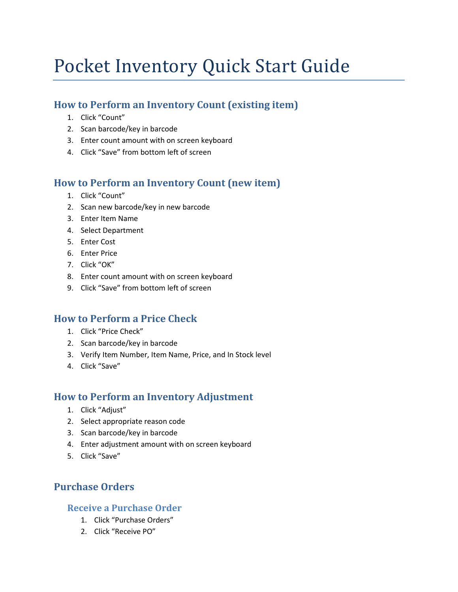# Pocket Inventory Quick Start Guide

## How to Perform an Inventory Count (existing item)

- 1. Click "Count"
- 2. Scan barcode/key in barcode
- 3. Enter count amount with on screen keyboard
- 4. Click "Save" from bottom left of screen

# How to Perform an Inventory Count (new item)

- 1. Click "Count"
- 2. Scan new barcode/key in new barcode
- 3. Enter Item Name
- 4. Select Department
- 5. Enter Cost
- 6. Enter Price
- 7. Click "OK"
- 8. Enter count amount with on screen keyboard
- 9. Click "Save" from bottom left of screen

## How to Perform a Price Check

- 1. Click "Price Check"
- 2. Scan barcode/key in barcode
- 3. Verify Item Number, Item Name, Price, and In Stock level
- 4. Click "Save"

## How to Perform an Inventory Adjustment

- 1. Click "Adjust"
- 2. Select appropriate reason code
- 3. Scan barcode/key in barcode
- 4. Enter adjustment amount with on screen keyboard
- 5. Click "Save"

# Purchase Orders

## Receive a Purchase Order

- 1. Click "Purchase Orders"
- 2. Click "Receive PO"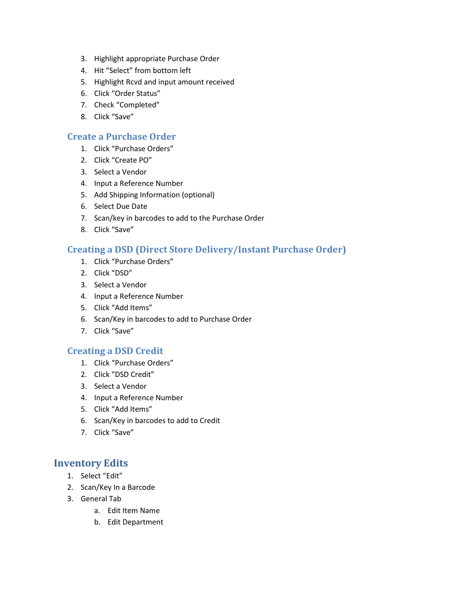- 3. Highlight appropriate Purchase Order
- 4. Hit "Select" from bottom left
- 5. Highlight Rcvd and input amount received
- 6. Click "Order Status"
- 7. Check "Completed"
- 8. Click "Save"

### Create a Purchase Order

- 1. Click "Purchase Orders"
- 2. Click "Create PO"
- 3. Select a Vendor
- 4. Input a Reference Number
- 5. Add Shipping Information (optional)
- 6. Select Due Date
- 7. Scan/key in barcodes to add to the Purchase Order
- 8. Click "Save"

### Creating a DSD (Direct Store Delivery/Instant Purchase Order)

- 1. Click "Purchase Orders"
- 2. Click "DSD"
- 3. Select a Vendor
- 4. Input a Reference Number
- 5. Click "Add Items"
- 6. Scan/Key in barcodes to add to Purchase Order
- 7. Click "Save"

### Creating a DSD Credit

- 1. Click "Purchase Orders"
- 2. Click "DSD Credit"
- 3. Select a Vendor
- 4. Input a Reference Number
- 5. Click "Add Items"
- 6. Scan/Key in barcodes to add to Credit
- 7. Click "Save"

## Inventory Edits

- 1. Select "Edit"
- 2. Scan/Key In a Barcode
- 3. General Tab
	- a. Edit Item Name
	- b. Edit Department